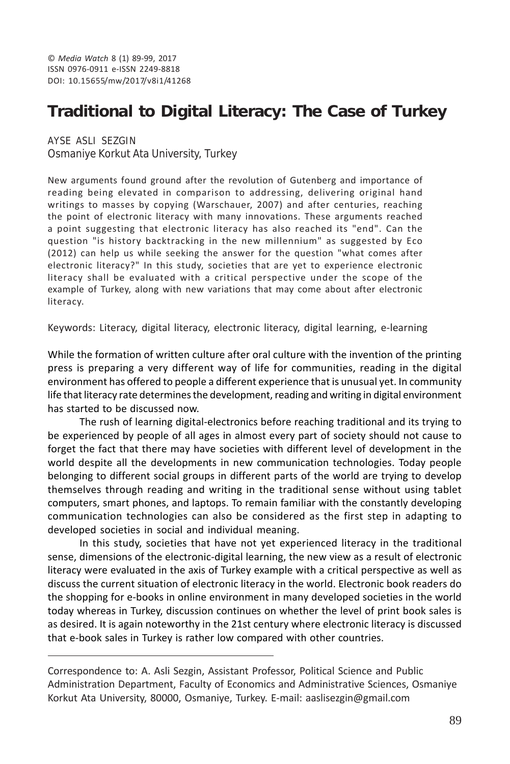# **Traditional to Digital Literacy: The Case of Turkey**

AYSE ASLI SEZGIN Osmaniye Korkut Ata University, Turkey

New arguments found ground after the revolution of Gutenberg and importance of reading being elevated in comparison to addressing, delivering original hand writings to masses by copying (Warschauer, 2007) and after centuries, reaching the point of electronic literacy with many innovations. These arguments reached a point suggesting that electronic literacy has also reached its "end". Can the question "is history backtracking in the new millennium" as suggested by Eco (2012) can help us while seeking the answer for the question "what comes after electronic literacy?" In this study, societies that are yet to experience electronic literacy shall be evaluated with a critical perspective under the scope of the example of Turkey, along with new variations that may come about after electronic literacy.

Keywords: Literacy, digital literacy, electronic literacy, digital learning, e-learning

While the formation of written culture after oral culture with the invention of the printing press is preparing a very different way of life for communities, reading in the digital environment has offered to people a different experience that is unusual yet. In community life that literacy rate determines the development, reading and writing in digital environment has started to be discussed now.

The rush of learning digital-electronics before reaching traditional and its trying to be experienced by people of all ages in almost every part of society should not cause to forget the fact that there may have societies with different level of development in the world despite all the developments in new communication technologies. Today people belonging to different social groups in different parts of the world are trying to develop themselves through reading and writing in the traditional sense without using tablet computers, smart phones, and laptops. To remain familiar with the constantly developing communication technologies can also be considered as the first step in adapting to developed societies in social and individual meaning.

In this study, societies that have not yet experienced literacy in the traditional sense, dimensions of the electronic-digital learning, the new view as a result of electronic literacy were evaluated in the axis of Turkey example with a critical perspective as well as discuss the current situation of electronic literacy in the world. Electronic book readers do the shopping for e-books in online environment in many developed societies in the world today whereas in Turkey, discussion continues on whether the level of print book sales is as desired. It is again noteworthy in the 21st century where electronic literacy is discussed that e-book sales in Turkey is rather low compared with other countries.

Correspondence to: A. Asli Sezgin, Assistant Professor, Political Science and Public Administration Department, Faculty of Economics and Administrative Sciences, Osmaniye Korkut Ata University, 80000, Osmaniye, Turkey. E-mail: aaslisezgin@gmail.com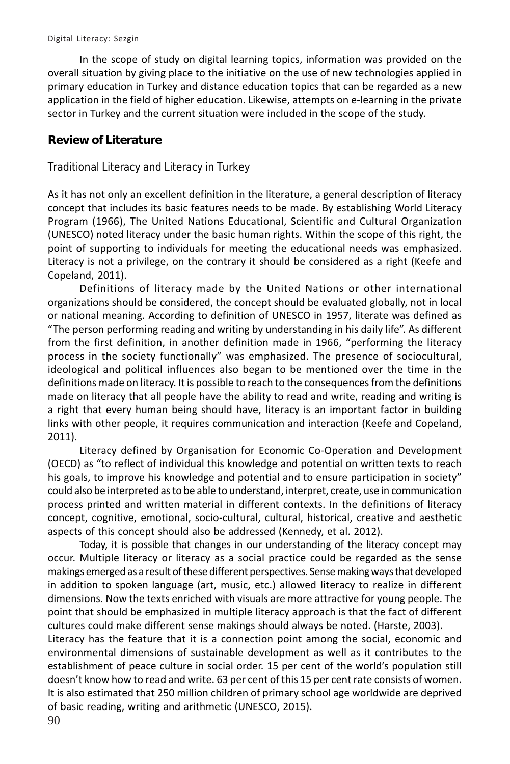In the scope of study on digital learning topics, information was provided on the overall situation by giving place to the initiative on the use of new technologies applied in primary education in Turkey and distance education topics that can be regarded as a new application in the field of higher education. Likewise, attempts on e-learning in the private sector in Turkey and the current situation were included in the scope of the study.

# **Review of Literature**

Traditional Literacy and Literacy in Turkey

As it has not only an excellent definition in the literature, a general description of literacy concept that includes its basic features needs to be made. By establishing World Literacy Program (1966), The United Nations Educational, Scientific and Cultural Organization (UNESCO) noted literacy under the basic human rights. Within the scope of this right, the point of supporting to individuals for meeting the educational needs was emphasized. Literacy is not a privilege, on the contrary it should be considered as a right (Keefe and Copeland, 2011).

Definitions of literacy made by the United Nations or other international organizations should be considered, the concept should be evaluated globally, not in local or national meaning. According to definition of UNESCO in 1957, literate was defined as "The person performing reading and writing by understanding in his daily life". As different from the first definition, in another definition made in 1966, "performing the literacy process in the society functionally" was emphasized. The presence of sociocultural, ideological and political influences also began to be mentioned over the time in the definitions made on literacy. It is possible to reach to the consequences from the definitions made on literacy that all people have the ability to read and write, reading and writing is a right that every human being should have, literacy is an important factor in building links with other people, it requires communication and interaction (Keefe and Copeland, 2011).

Literacy defined by Organisation for Economic Co-Operation and Development (OECD) as "to reflect of individual this knowledge and potential on written texts to reach his goals, to improve his knowledge and potential and to ensure participation in society" could also be interpreted as to be able to understand, interpret, create, use in communication process printed and written material in different contexts. In the definitions of literacy concept, cognitive, emotional, socio-cultural, cultural, historical, creative and aesthetic aspects of this concept should also be addressed (Kennedy, et al. 2012).

Today, it is possible that changes in our understanding of the literacy concept may occur. Multiple literacy or literacy as a social practice could be regarded as the sense makings emerged as a result of these different perspectives. Sense making ways that developed in addition to spoken language (art, music, etc.) allowed literacy to realize in different dimensions. Now the texts enriched with visuals are more attractive for young people. The point that should be emphasized in multiple literacy approach is that the fact of different cultures could make different sense makings should always be noted. (Harste, 2003).

Literacy has the feature that it is a connection point among the social, economic and environmental dimensions of sustainable development as well as it contributes to the establishment of peace culture in social order. 15 per cent of the world's population still doesn't know how to read and write. 63 per cent of this 15 per cent rate consists of women. It is also estimated that 250 million children of primary school age worldwide are deprived of basic reading, writing and arithmetic (UNESCO, 2015).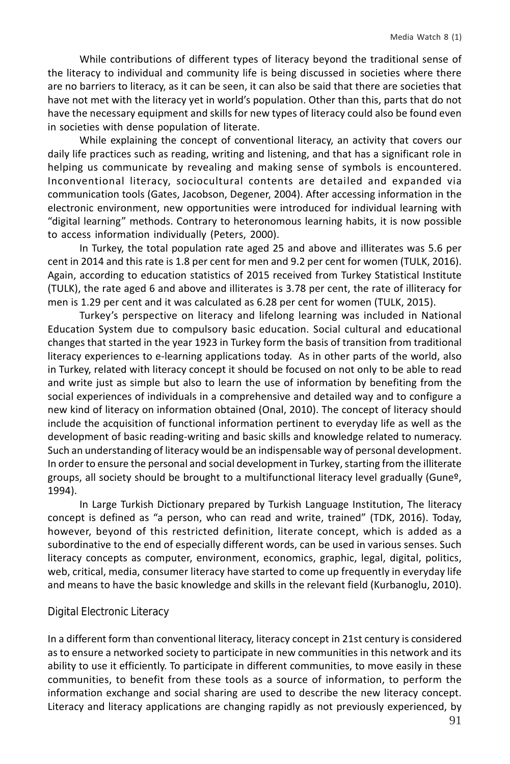While contributions of different types of literacy beyond the traditional sense of the literacy to individual and community life is being discussed in societies where there are no barriers to literacy, as it can be seen, it can also be said that there are societies that have not met with the literacy yet in world's population. Other than this, parts that do not have the necessary equipment and skills for new types of literacy could also be found even in societies with dense population of literate.

While explaining the concept of conventional literacy, an activity that covers our daily life practices such as reading, writing and listening, and that has a significant role in helping us communicate by revealing and making sense of symbols is encountered. Inconventional literacy, sociocultural contents are detailed and expanded via communication tools (Gates, Jacobson, Degener, 2004). After accessing information in the electronic environment, new opportunities were introduced for individual learning with "digital learning" methods. Contrary to heteronomous learning habits, it is now possible to access information individually (Peters, 2000).

In Turkey, the total population rate aged 25 and above and illiterates was 5.6 per cent in 2014 and this rate is 1.8 per cent for men and 9.2 per cent for women (TULK, 2016). Again, according to education statistics of 2015 received from Turkey Statistical Institute (TULK), the rate aged 6 and above and illiterates is 3.78 per cent, the rate of illiteracy for men is 1.29 per cent and it was calculated as 6.28 per cent for women (TULK, 2015).

Turkey's perspective on literacy and lifelong learning was included in National Education System due to compulsory basic education. Social cultural and educational changes that started in the year 1923 in Turkey form the basis of transition from traditional literacy experiences to e-learning applications today. As in other parts of the world, also in Turkey, related with literacy concept it should be focused on not only to be able to read and write just as simple but also to learn the use of information by benefiting from the social experiences of individuals in a comprehensive and detailed way and to configure a new kind of literacy on information obtained (Onal, 2010). The concept of literacy should include the acquisition of functional information pertinent to everyday life as well as the development of basic reading-writing and basic skills and knowledge related to numeracy. Such an understanding of literacy would be an indispensable way of personal development. In order to ensure the personal and social development in Turkey, starting from the illiterate groups, all society should be brought to a multifunctional literacy level gradually (Gune<sup>o</sup>, 1994).

In Large Turkish Dictionary prepared by Turkish Language Institution, The literacy concept is defined as "a person, who can read and write, trained" (TDK, 2016). Today, however, beyond of this restricted definition, literate concept, which is added as a subordinative to the end of especially different words, can be used in various senses. Such literacy concepts as computer, environment, economics, graphic, legal, digital, politics, web, critical, media, consumer literacy have started to come up frequently in everyday life and means to have the basic knowledge and skills in the relevant field (Kurbanoglu, 2010).

#### Digital Electronic Literacy

In a different form than conventional literacy, literacy concept in 21st century is considered as to ensure a networked society to participate in new communities in this network and its ability to use it efficiently. To participate in different communities, to move easily in these communities, to benefit from these tools as a source of information, to perform the information exchange and social sharing are used to describe the new literacy concept. Literacy and literacy applications are changing rapidly as not previously experienced, by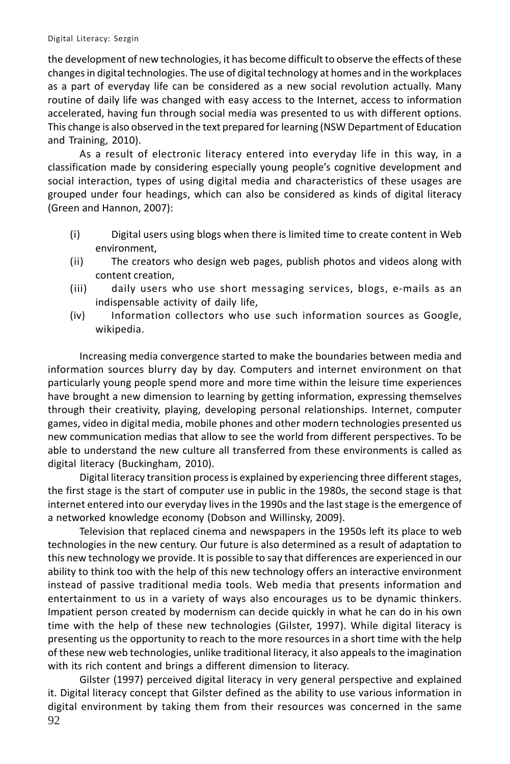#### Digital Literacy: Sezgin

the development of new technologies, it has become difficult to observe the effects of these changes in digital technologies. The use of digital technology at homes and in the workplaces as a part of everyday life can be considered as a new social revolution actually. Many routine of daily life was changed with easy access to the Internet, access to information accelerated, having fun through social media was presented to us with different options. This change is also observed in the text prepared for learning (NSW Department of Education and Training, 2010).

As a result of electronic literacy entered into everyday life in this way, in a classification made by considering especially young people's cognitive development and social interaction, types of using digital media and characteristics of these usages are grouped under four headings, which can also be considered as kinds of digital literacy (Green and Hannon, 2007):

- (i) Digital users using blogs when there is limited time to create content in Web environment,
- (ii) The creators who design web pages, publish photos and videos along with content creation,
- (iii) daily users who use short messaging services, blogs, e-mails as an indispensable activity of daily life,
- (iv) Information collectors who use such information sources as Google, wikipedia.

Increasing media convergence started to make the boundaries between media and information sources blurry day by day. Computers and internet environment on that particularly young people spend more and more time within the leisure time experiences have brought a new dimension to learning by getting information, expressing themselves through their creativity, playing, developing personal relationships. Internet, computer games, video in digital media, mobile phones and other modern technologies presented us new communication medias that allow to see the world from different perspectives. To be able to understand the new culture all transferred from these environments is called as digital literacy (Buckingham, 2010).

Digital literacy transition process is explained by experiencing three different stages, the first stage is the start of computer use in public in the 1980s, the second stage is that internet entered into our everyday lives in the 1990s and the last stage is the emergence of a networked knowledge economy (Dobson and Willinsky, 2009).

Television that replaced cinema and newspapers in the 1950s left its place to web technologies in the new century. Our future is also determined as a result of adaptation to this new technology we provide. It is possible to say that differences are experienced in our ability to think too with the help of this new technology offers an interactive environment instead of passive traditional media tools. Web media that presents information and entertainment to us in a variety of ways also encourages us to be dynamic thinkers. Impatient person created by modernism can decide quickly in what he can do in his own time with the help of these new technologies (Gilster, 1997). While digital literacy is presenting us the opportunity to reach to the more resources in a short time with the help of these new web technologies, unlike traditional literacy, it also appeals to the imagination with its rich content and brings a different dimension to literacy.

92 Gilster (1997) perceived digital literacy in very general perspective and explained it. Digital literacy concept that Gilster defined as the ability to use various information in digital environment by taking them from their resources was concerned in the same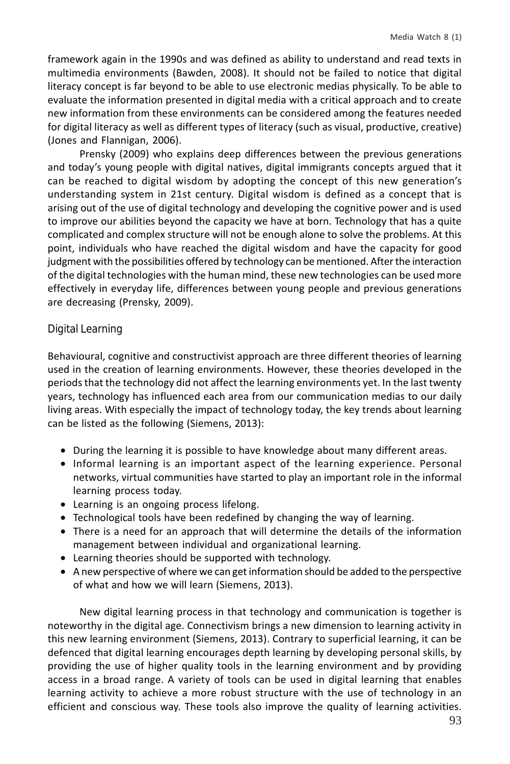framework again in the 1990s and was defined as ability to understand and read texts in multimedia environments (Bawden, 2008). It should not be failed to notice that digital literacy concept is far beyond to be able to use electronic medias physically. To be able to evaluate the information presented in digital media with a critical approach and to create new information from these environments can be considered among the features needed for digital literacy as well as different types of literacy (such as visual, productive, creative) (Jones and Flannigan, 2006).

Prensky (2009) who explains deep differences between the previous generations and today's young people with digital natives, digital immigrants concepts argued that it can be reached to digital wisdom by adopting the concept of this new generation's understanding system in 21st century. Digital wisdom is defined as a concept that is arising out of the use of digital technology and developing the cognitive power and is used to improve our abilities beyond the capacity we have at born. Technology that has a quite complicated and complex structure will not be enough alone to solve the problems. At this point, individuals who have reached the digital wisdom and have the capacity for good judgment with the possibilities offered by technology can be mentioned. After the interaction of the digital technologies with the human mind, these new technologies can be used more effectively in everyday life, differences between young people and previous generations are decreasing (Prensky, 2009).

### Digital Learning

Behavioural, cognitive and constructivist approach are three different theories of learning used in the creation of learning environments. However, these theories developed in the periods that the technology did not affect the learning environments yet. In the last twenty years, technology has influenced each area from our communication medias to our daily living areas. With especially the impact of technology today, the key trends about learning can be listed as the following (Siemens, 2013):

- During the learning it is possible to have knowledge about many different areas.
- Informal learning is an important aspect of the learning experience. Personal networks, virtual communities have started to play an important role in the informal learning process today.
- Learning is an ongoing process lifelong.
- Technological tools have been redefined by changing the way of learning.
- There is a need for an approach that will determine the details of the information management between individual and organizational learning.
- Learning theories should be supported with technology.
- A new perspective of where we can get information should be added to the perspective of what and how we will learn (Siemens, 2013).

New digital learning process in that technology and communication is together is noteworthy in the digital age. Connectivism brings a new dimension to learning activity in this new learning environment (Siemens, 2013). Contrary to superficial learning, it can be defenced that digital learning encourages depth learning by developing personal skills, by providing the use of higher quality tools in the learning environment and by providing access in a broad range. A variety of tools can be used in digital learning that enables learning activity to achieve a more robust structure with the use of technology in an efficient and conscious way. These tools also improve the quality of learning activities.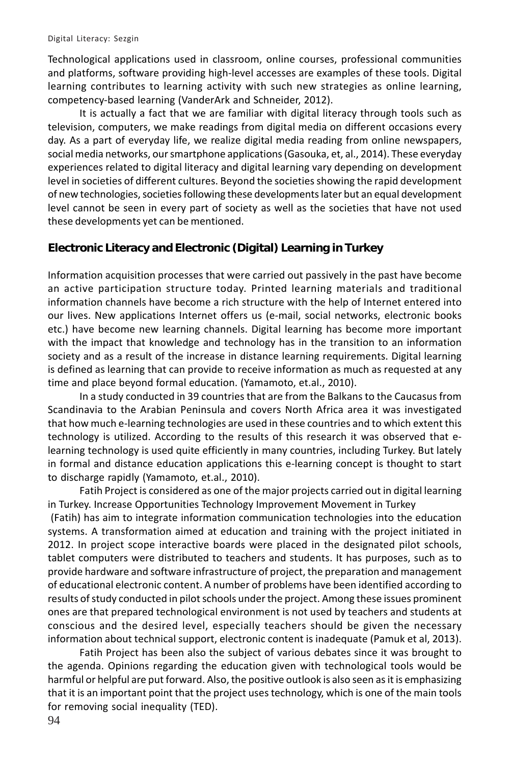Technological applications used in classroom, online courses, professional communities and platforms, software providing high-level accesses are examples of these tools. Digital learning contributes to learning activity with such new strategies as online learning, competency-based learning (VanderArk and Schneider, 2012).

It is actually a fact that we are familiar with digital literacy through tools such as television, computers, we make readings from digital media on different occasions every day. As a part of everyday life, we realize digital media reading from online newspapers, social media networks, our smartphone applications (Gasouka, et, al., 2014). These everyday experiences related to digital literacy and digital learning vary depending on development level in societies of different cultures. Beyond the societies showing the rapid development of new technologies, societies following these developments later but an equal development level cannot be seen in every part of society as well as the societies that have not used these developments yet can be mentioned.

### **Electronic Literacy and Electronic (Digital) Learning in Turkey**

Information acquisition processes that were carried out passively in the past have become an active participation structure today. Printed learning materials and traditional information channels have become a rich structure with the help of Internet entered into our lives. New applications Internet offers us (e-mail, social networks, electronic books etc.) have become new learning channels. Digital learning has become more important with the impact that knowledge and technology has in the transition to an information society and as a result of the increase in distance learning requirements. Digital learning is defined as learning that can provide to receive information as much as requested at any time and place beyond formal education. (Yamamoto, et.al., 2010).

In a study conducted in 39 countries that are from the Balkans to the Caucasus from Scandinavia to the Arabian Peninsula and covers North Africa area it was investigated that how much e-learning technologies are used in these countries and to which extent this technology is utilized. According to the results of this research it was observed that elearning technology is used quite efficiently in many countries, including Turkey. But lately in formal and distance education applications this e-learning concept is thought to start to discharge rapidly (Yamamoto, et.al., 2010).

Fatih Project is considered as one of the major projects carried out in digital learning in Turkey. Increase Opportunities Technology Improvement Movement in Turkey

 (Fatih) has aim to integrate information communication technologies into the education systems. A transformation aimed at education and training with the project initiated in 2012. In project scope interactive boards were placed in the designated pilot schools, tablet computers were distributed to teachers and students. It has purposes, such as to provide hardware and software infrastructure of project, the preparation and management of educational electronic content. A number of problems have been identified according to results of study conducted in pilot schools under the project. Among these issues prominent ones are that prepared technological environment is not used by teachers and students at conscious and the desired level, especially teachers should be given the necessary information about technical support, electronic content is inadequate (Pamuk et al, 2013).

Fatih Project has been also the subject of various debates since it was brought to the agenda. Opinions regarding the education given with technological tools would be harmful or helpful are put forward. Also, the positive outlook is also seen as it is emphasizing that it is an important point that the project uses technology, which is one of the main tools for removing social inequality (TED).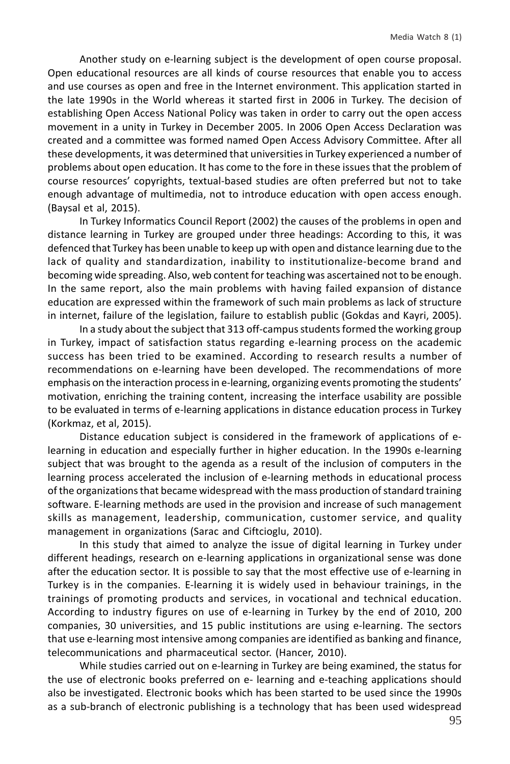Another study on e-learning subject is the development of open course proposal. Open educational resources are all kinds of course resources that enable you to access and use courses as open and free in the Internet environment. This application started in the late 1990s in the World whereas it started first in 2006 in Turkey. The decision of establishing Open Access National Policy was taken in order to carry out the open access movement in a unity in Turkey in December 2005. In 2006 Open Access Declaration was created and a committee was formed named Open Access Advisory Committee. After all these developments, it was determined that universities in Turkey experienced a number of problems about open education. It has come to the fore in these issues that the problem of course resources' copyrights, textual-based studies are often preferred but not to take enough advantage of multimedia, not to introduce education with open access enough. (Baysal et al, 2015).

In Turkey Informatics Council Report (2002) the causes of the problems in open and distance learning in Turkey are grouped under three headings: According to this, it was defenced that Turkey has been unable to keep up with open and distance learning due to the lack of quality and standardization, inability to institutionalize-become brand and becoming wide spreading. Also, web content for teaching was ascertained not to be enough. In the same report, also the main problems with having failed expansion of distance education are expressed within the framework of such main problems as lack of structure in internet, failure of the legislation, failure to establish public (Gokdas and Kayri, 2005).

In a study about the subject that 313 off-campus students formed the working group in Turkey, impact of satisfaction status regarding e-learning process on the academic success has been tried to be examined. According to research results a number of recommendations on e-learning have been developed. The recommendations of more emphasis on the interaction process in e-learning, organizing events promoting the students' motivation, enriching the training content, increasing the interface usability are possible to be evaluated in terms of e-learning applications in distance education process in Turkey (Korkmaz, et al, 2015).

Distance education subject is considered in the framework of applications of elearning in education and especially further in higher education. In the 1990s e-learning subject that was brought to the agenda as a result of the inclusion of computers in the learning process accelerated the inclusion of e-learning methods in educational process of the organizations that became widespread with the mass production of standard training software. E-learning methods are used in the provision and increase of such management skills as management, leadership, communication, customer service, and quality management in organizations (Sarac and Ciftcioglu, 2010).

In this study that aimed to analyze the issue of digital learning in Turkey under different headings, research on e-learning applications in organizational sense was done after the education sector. It is possible to say that the most effective use of e-learning in Turkey is in the companies. E-learning it is widely used in behaviour trainings, in the trainings of promoting products and services, in vocational and technical education. According to industry figures on use of e-learning in Turkey by the end of 2010, 200 companies, 30 universities, and 15 public institutions are using e-learning. The sectors that use e-learning most intensive among companies are identified as banking and finance, telecommunications and pharmaceutical sector. (Hancer, 2010).

While studies carried out on e-learning in Turkey are being examined, the status for the use of electronic books preferred on e- learning and e-teaching applications should also be investigated. Electronic books which has been started to be used since the 1990s as a sub-branch of electronic publishing is a technology that has been used widespread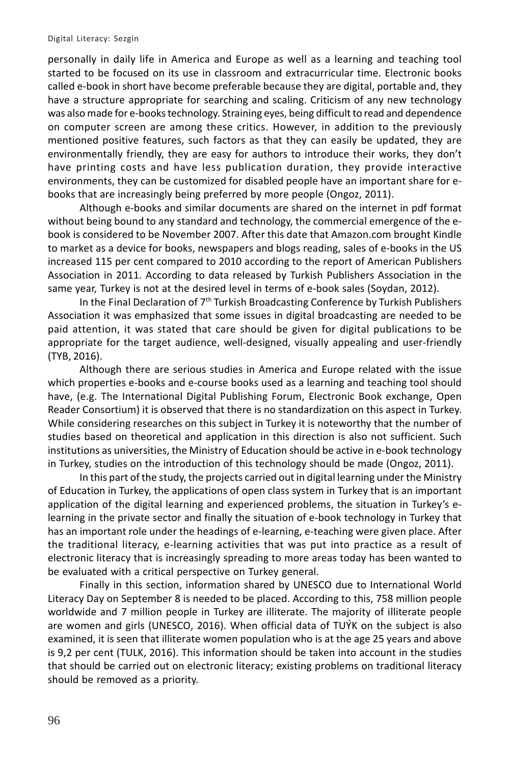personally in daily life in America and Europe as well as a learning and teaching tool started to be focused on its use in classroom and extracurricular time. Electronic books called e-book in short have become preferable because they are digital, portable and, they have a structure appropriate for searching and scaling. Criticism of any new technology was also made for e-books technology. Straining eyes, being difficult to read and dependence on computer screen are among these critics. However, in addition to the previously mentioned positive features, such factors as that they can easily be updated, they are environmentally friendly, they are easy for authors to introduce their works, they don't have printing costs and have less publication duration, they provide interactive environments, they can be customized for disabled people have an important share for ebooks that are increasingly being preferred by more people (Ongoz, 2011).

Although e-books and similar documents are shared on the internet in pdf format without being bound to any standard and technology, the commercial emergence of the ebook is considered to be November 2007. After this date that Amazon.com brought Kindle to market as a device for books, newspapers and blogs reading, sales of e-books in the US increased 115 per cent compared to 2010 according to the report of American Publishers Association in 2011. According to data released by Turkish Publishers Association in the same year, Turkey is not at the desired level in terms of e-book sales (Soydan, 2012).

In the Final Declaration of  $7<sup>th</sup>$  Turkish Broadcasting Conference by Turkish Publishers Association it was emphasized that some issues in digital broadcasting are needed to be paid attention, it was stated that care should be given for digital publications to be appropriate for the target audience, well-designed, visually appealing and user-friendly (TYB, 2016).

Although there are serious studies in America and Europe related with the issue which properties e-books and e-course books used as a learning and teaching tool should have, (e.g. The International Digital Publishing Forum, Electronic Book exchange, Open Reader Consortium) it is observed that there is no standardization on this aspect in Turkey. While considering researches on this subject in Turkey it is noteworthy that the number of studies based on theoretical and application in this direction is also not sufficient. Such institutions as universities, the Ministry of Education should be active in e-book technology in Turkey, studies on the introduction of this technology should be made (Ongoz, 2011).

In this part of the study, the projects carried out in digital learning under the Ministry of Education in Turkey, the applications of open class system in Turkey that is an important application of the digital learning and experienced problems, the situation in Turkey's elearning in the private sector and finally the situation of e-book technology in Turkey that has an important role under the headings of e-learning, e-teaching were given place. After the traditional literacy, e-learning activities that was put into practice as a result of electronic literacy that is increasingly spreading to more areas today has been wanted to be evaluated with a critical perspective on Turkey general.

Finally in this section, information shared by UNESCO due to International World Literacy Day on September 8 is needed to be placed. According to this, 758 million people worldwide and 7 million people in Turkey are illiterate. The majority of illiterate people are women and girls (UNESCO, 2016). When official data of TUÝK on the subject is also examined, it is seen that illiterate women population who is at the age 25 years and above is 9,2 per cent (TULK, 2016). This information should be taken into account in the studies that should be carried out on electronic literacy; existing problems on traditional literacy should be removed as a priority.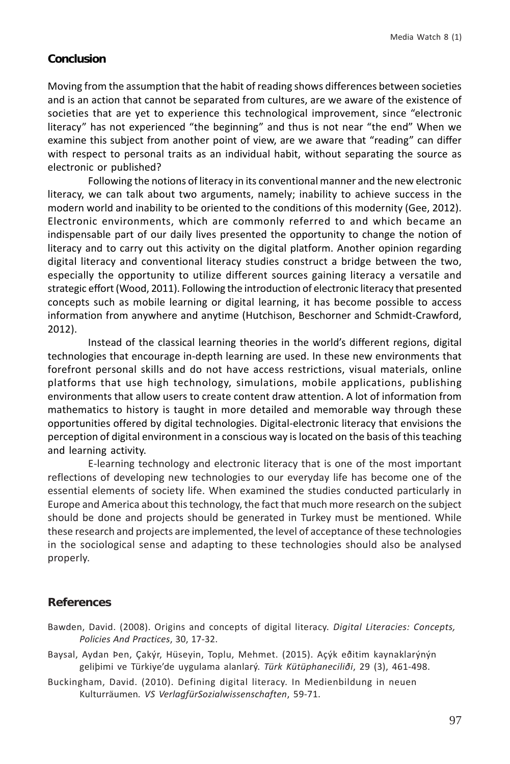#### **Conclusion**

Moving from the assumption that the habit of reading shows differences between societies and is an action that cannot be separated from cultures, are we aware of the existence of societies that are yet to experience this technological improvement, since "electronic literacy" has not experienced "the beginning" and thus is not near "the end" When we examine this subject from another point of view, are we aware that "reading" can differ with respect to personal traits as an individual habit, without separating the source as electronic or published?

Following the notions of literacy in its conventional manner and the new electronic literacy, we can talk about two arguments, namely; inability to achieve success in the modern world and inability to be oriented to the conditions of this modernity (Gee, 2012). Electronic environments, which are commonly referred to and which became an indispensable part of our daily lives presented the opportunity to change the notion of literacy and to carry out this activity on the digital platform. Another opinion regarding digital literacy and conventional literacy studies construct a bridge between the two, especially the opportunity to utilize different sources gaining literacy a versatile and strategic effort (Wood, 2011). Following the introduction of electronic literacy that presented concepts such as mobile learning or digital learning, it has become possible to access information from anywhere and anytime (Hutchison, Beschorner and Schmidt-Crawford, 2012).

Instead of the classical learning theories in the world's different regions, digital technologies that encourage in-depth learning are used. In these new environments that forefront personal skills and do not have access restrictions, visual materials, online platforms that use high technology, simulations, mobile applications, publishing environments that allow users to create content draw attention. A lot of information from mathematics to history is taught in more detailed and memorable way through these opportunities offered by digital technologies. Digital-electronic literacy that envisions the perception of digital environment in a conscious way is located on the basis of this teaching and learning activity.

E-learning technology and electronic literacy that is one of the most important reflections of developing new technologies to our everyday life has become one of the essential elements of society life. When examined the studies conducted particularly in Europe and America about this technology, the fact that much more research on the subject should be done and projects should be generated in Turkey must be mentioned. While these research and projects are implemented, the level of acceptance of these technologies in the sociological sense and adapting to these technologies should also be analysed properly.

# **References**

- Bawden, David. (2008). Origins and concepts of digital literacy. *Digital Literacies: Concepts, Policies And Practices*, 30, 17-32.
- Baysal, Aydan Þen, Çakýr, Hüseyin, Toplu, Mehmet. (2015). Açýk eðitim kaynaklarýnýn geliþimi ve Türkiye'de uygulama alanlarý. *Türk Kütüphaneciliði*, 29 (3), 461-498.
- Buckingham, David. (2010). Defining digital literacy. In Medienbildung in neuen Kulturräumen*. VS VerlagfürSozialwissenschaften*, 59-71.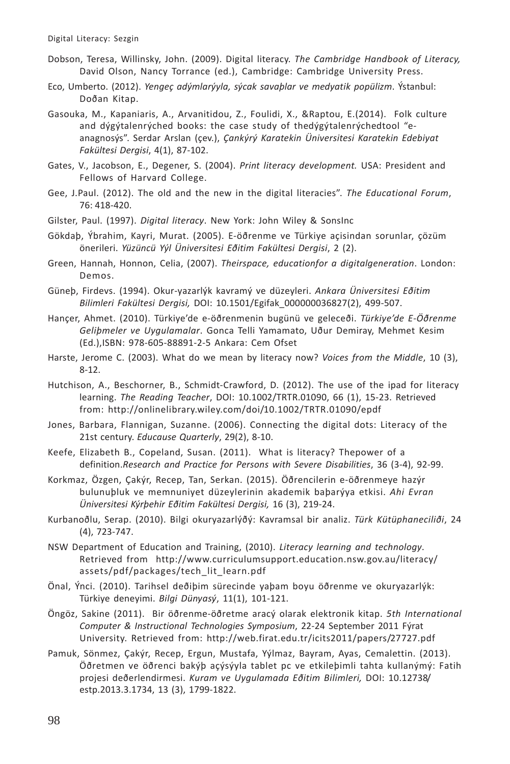- Dobson, Teresa, Willinsky, John. (2009). Digital literacy. *The Cambridge Handbook of Literacy,* David Olson, Nancy Torrance (ed.), Cambridge: Cambridge University Press.
- Eco, Umberto. (2012). *Yengeç adýmlarýyla, sýcak savaþlar ve medyatik popülizm*. Ýstanbul: Doðan Kitap.
- Gasouka, M., Kapaniaris, A., Arvanitidou, Z., Foulidi, X., &Raptou, E.(2014). Folk culture and dýgýtalenrýched books: the case study of thedýgýtalenrýchedtool "eanagnosýs". Serdar Arslan (çev.), *Çankýrý Karatekin Üniversitesi Karatekin Edebiyat Fakültesi Dergisi*, 4(1), 87-102.
- Gates, V., Jacobson, E., Degener, S. (2004). *Print literacy development.* USA: President and Fellows of Harvard College.
- Gee, J.Paul. (2012). The old and the new in the digital literacies". *The Educational Forum*, 76: 418-420.
- Gilster, Paul. (1997). *Digital literacy*. New York: John Wiley & SonsInc
- Gökdaþ, Ýbrahim, Kayri, Murat. (2005). E-öðrenme ve Türkiye açisindan sorunlar, çözüm önerileri. *Yüzüncü Yýl Üniversitesi Eðitim Fakültesi Dergisi*, 2 (2).
- Green, Hannah, Honnon, Celia, (2007). *Theirspace, educationfor a digitalgeneration*. London: Demos.
- Güneþ, Firdevs. (1994). Okur-yazarlýk kavramý ve düzeyleri. *Ankara Üniversitesi Eðitim Bilimleri Fakültesi Dergisi,* DOI: 10.1501/Egifak\_000000036827(2), 499-507.
- Hançer, Ahmet. (2010). Türkiye'de e-öðrenmenin bugünü ve geleceði. *Türkiye'de E-Öðrenme Geliþmeler ve Uygulamalar*. Gonca Telli Yamamato, Uður Demiray, Mehmet Kesim (Ed.),ISBN: 978-605-88891-2-5 Ankara: Cem Ofset
- Harste, Jerome C. (2003). What do we mean by literacy now? *Voices from the Middle*, 10 (3), 8-12.
- Hutchison, A., Beschorner, B., Schmidt-Crawford, D. (2012). The use of the ipad for literacy learning. *The Reading Teacher*, DOI: 10.1002/TRTR.01090, 66 (1), 15-23. Retrieved from: http://onlinelibrary.wiley.com/doi/10.1002/TRTR.01090/epdf
- Jones, Barbara, Flannigan, Suzanne. (2006). Connecting the digital dots: Literacy of the 21st century. *Educause Quarterly*, 29(2), 8-10.
- Keefe, Elizabeth B., Copeland, Susan. (2011). What is literacy? Thepower of a definition.*Research and Practice for Persons with Severe Disabilities*, 36 (3-4), 92-99.
- Korkmaz, Özgen, Çakýr, Recep, Tan, Serkan. (2015). Öðrencilerin e-öðrenmeye hazýr bulunuþluk ve memnuniyet düzeylerinin akademik baþarýya etkisi. *Ahi Evran Üniversitesi Kýrþehir Eðitim Fakültesi Dergisi,* 16 (3), 219-24.
- Kurbanoðlu, Serap. (2010). Bilgi okuryazarlýðý: Kavramsal bir analiz. *Türk Kütüphaneciliði*, 24 (4), 723-747.
- NSW Department of Education and Training, (2010). *Literacy learning and technology*. Retrieved from http://www.curriculumsupport.education.nsw.gov.au/literacy/ assets/pdf/packages/tech\_lit\_learn.pdf
- Önal, Ýnci. (2010). Tarihsel deðiþim sürecinde yaþam boyu öðrenme ve okuryazarlýk: Türkiye deneyimi. *Bilgi Dünyasý*, 11(1), 101-121.
- Öngöz, Sakine (2011). Bir öðrenme-öðretme aracý olarak elektronik kitap. *5th International Computer & Instructional Technologies Symposium*, 22-24 September 2011 Fýrat University. Retrieved from: http://web.firat.edu.tr/icits2011/papers/27727.pdf
- Pamuk, Sönmez, Çakýr, Recep, Ergun, Mustafa, Yýlmaz, Bayram, Ayas, Cemalettin. (2013). Öðretmen ve öðrenci bakýþ açýsýyla tablet pc ve etkileþimli tahta kullanýmý: Fatih projesi deðerlendirmesi. *Kuram ve Uygulamada Eðitim Bilimleri,* DOI: 10.12738/ estp.2013.3.1734, 13 (3), 1799-1822.